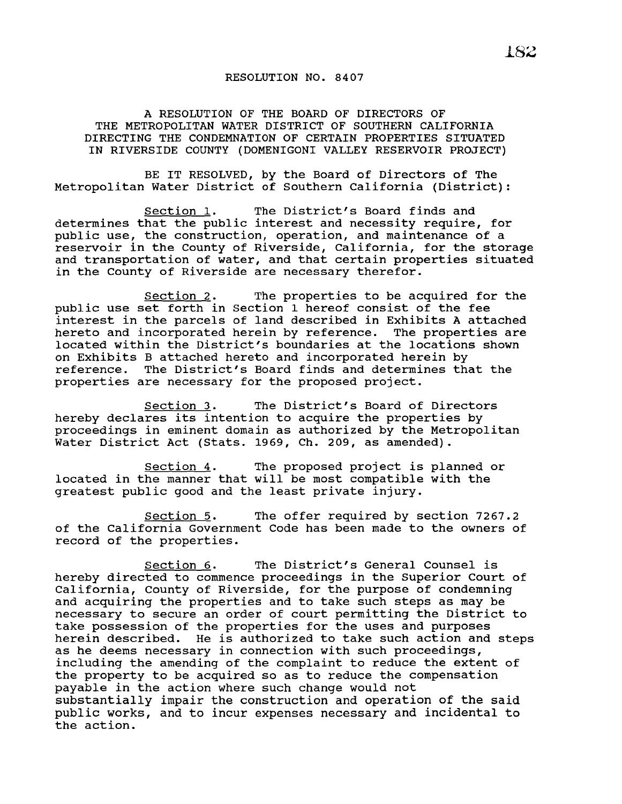## RESOLUTION NO. 8407

A RESOLUTION OF THE BOARD OF DIRECTORS OF THE METROPOLITAN WATER DISTRICT OF SOUTHERN CALIFORNIA DIRECTING THE CONDEMNATION OF CERTAIN PROPERTIES SITUATED IN RIVERSIDE COUNTY (DOMENIGONI VALLEY RESERVOIR PROJECT)

BE IT RESOLVED, by the Board of Directors of The Metropolitan Water District of Southern California (District):

Section 1. The District's Board finds and determines that the public interest and necessity require, for public use, the construction, operation, and maintenance of a reservoir in the County of Riverside, California, for the storage and transportation of water, and that certain properties situated in the County of Riverside are necessary therefor.

Section 2. The properties to be acquired for the public use set forth in Section 1 hereof consist of the fee interest in the parcels of land described in Exhibits <sup>A</sup> attached hereto and incorporated herein by reference. The properties are located within the District's boundaries at the locations shown on Exhibits B attached hereto and incorporated herein by reference. The District's Board finds and determines that the properties are necessary for the proposed project.

Section 3. The District's Board of Directors hereby declares its intention to acquire the properties by proceedings in eminent domain as authorized by the Metropolitan Water District Act (Stats. 1969, Ch. 209, as amended).

Section 4. The proposed project is planned or located in the manner that will be most compatible with the greatest public good and the least private injury.

Section 5. The offer required by section 7267.2 of the California Government Code has been made to the owners of record of the properties.

section 6. The District's General Counsel is hereby directed to commence proceedings in the Superior Court of California, County of Riverside, for the purpose of condemning and acquiring the properties and to take such steps as may be necessary to secure an order of court permitting the District to take possession of the properties for the uses and purposes herein described. He is authorized to take such action and steps as he deems necessary in connection with such proceedings, including the amending of the complaint to reduce the extent of the property to be acquired so as to reduce the compensation payable in the action where such change would not substantially impair the construction and operation of the said public works, and to incur expenses necessary and incidental to the action.